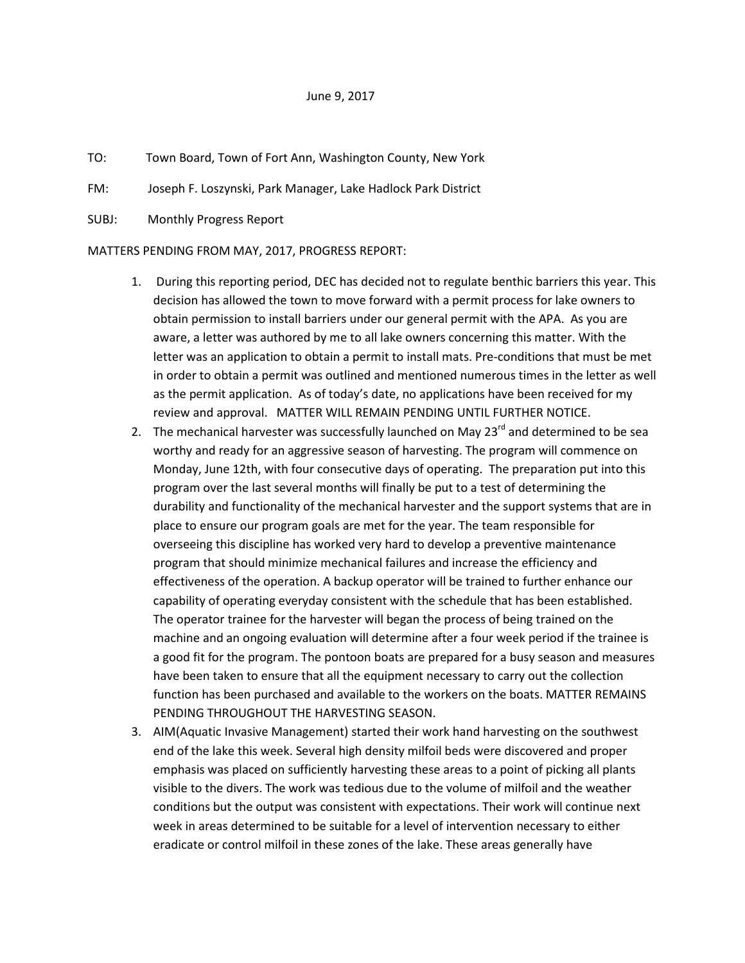## June 9, 2017

- TO: Town Board, Town of Fort Ann, Washington County, New York
- FM: Joseph F. Loszynski, Park Manager, Lake Hadlock Park District
- SUBJ: Monthly Progress Report

MATTERS PENDING FROM MAY, 2017, PROGRESS REPORT:

- 1. During this reporting period, DEC has decided not to regulate benthic barriers this year. This decision has allowed the town to move forward with a permit process for lake owners to obtain permission to install barriers under our general permit with the APA. As you are aware, a letter was authored by me to all lake owners concerning this matter. With the letter was an application to obtain a permit to install mats. Pre-conditions that must be met in order to obtain a permit was outlined and mentioned numerous times in the letter as well as the permit application. As of today's date, no applications have been received for my review and approval. MATTER WILL REMAIN PENDING UNTIL FURTHER NOTICE.
- 2. The mechanical harvester was successfully launched on May  $23^{rd}$  and determined to be sea worthy and ready for an aggressive season of harvesting. The program will commence on Monday, June 12th, with four consecutive days of operating. The preparation put into this program over the last several months will finally be put to a test of determining the durability and functionality of the mechanical harvester and the support systems that are in place to ensure our program goals are met for the year. The team responsible for overseeing this discipline has worked very hard to develop a preventive maintenance program that should minimize mechanical failures and increase the efficiency and effectiveness of the operation. A backup operator will be trained to further enhance our capability of operating everyday consistent with the schedule that has been established. The operator trainee for the harvester will began the process of being trained on the machine and an ongoing evaluation will determine after a four week period if the trainee is a good fit for the program. The pontoon boats are prepared for a busy season and measures have been taken to ensure that all the equipment necessary to carry out the collection function has been purchased and available to the workers on the boats. MATTER REMAINS PENDING THROUGHOUT THE HARVESTING SEASON.
- 3. AIM(Aquatic Invasive Management) started their work hand harvesting on the southwest end of the lake this week. Several high density milfoil beds were discovered and proper emphasis was placed on sufficiently harvesting these areas to a point of picking all plants visible to the divers. The work was tedious due to the volume of milfoil and the weather conditions but the output was consistent with expectations. Their work will continue next week in areas determined to be suitable for a level of intervention necessary to either eradicate or control milfoil in these zones of the lake. These areas generally have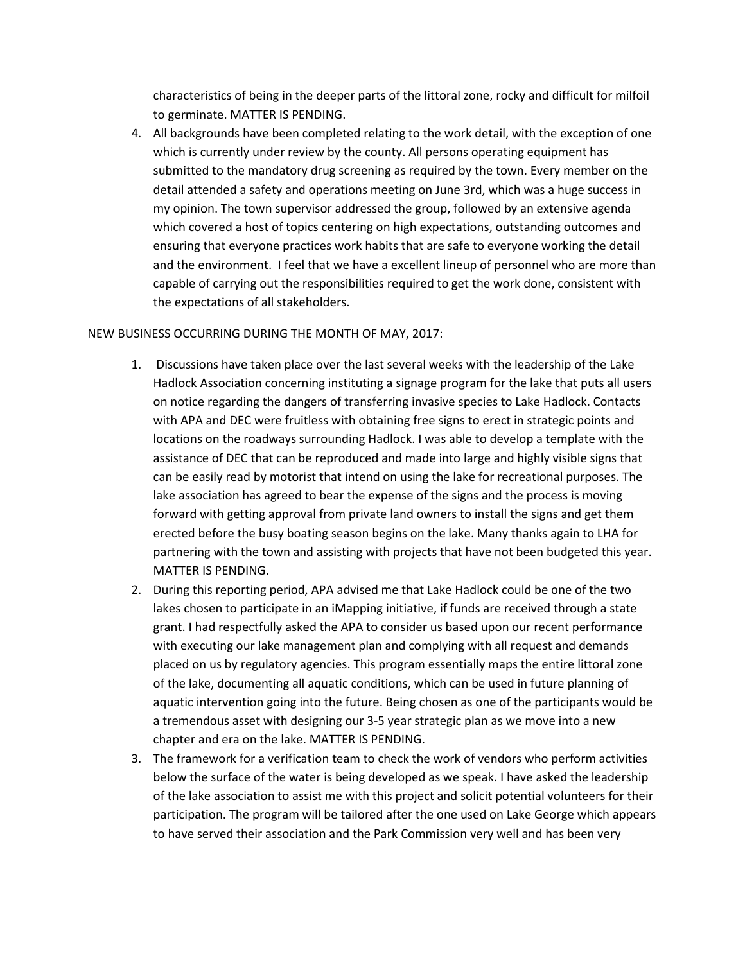characteristics of being in the deeper parts of the littoral zone, rocky and difficult for milfoil to germinate. MATTER IS PENDING.

4. All backgrounds have been completed relating to the work detail, with the exception of one which is currently under review by the county. All persons operating equipment has submitted to the mandatory drug screening as required by the town. Every member on the detail attended a safety and operations meeting on June 3rd, which was a huge success in my opinion. The town supervisor addressed the group, followed by an extensive agenda which covered a host of topics centering on high expectations, outstanding outcomes and ensuring that everyone practices work habits that are safe to everyone working the detail and the environment. I feel that we have a excellent lineup of personnel who are more than capable of carrying out the responsibilities required to get the work done, consistent with the expectations of all stakeholders.

## NEW BUSINESS OCCURRING DURING THE MONTH OF MAY, 2017:

- 1. Discussions have taken place over the last several weeks with the leadership of the Lake Hadlock Association concerning instituting a signage program for the lake that puts all users on notice regarding the dangers of transferring invasive species to Lake Hadlock. Contacts with APA and DEC were fruitless with obtaining free signs to erect in strategic points and locations on the roadways surrounding Hadlock. I was able to develop a template with the assistance of DEC that can be reproduced and made into large and highly visible signs that can be easily read by motorist that intend on using the lake for recreational purposes. The lake association has agreed to bear the expense of the signs and the process is moving forward with getting approval from private land owners to install the signs and get them erected before the busy boating season begins on the lake. Many thanks again to LHA for partnering with the town and assisting with projects that have not been budgeted this year. MATTER IS PENDING.
- 2. During this reporting period, APA advised me that Lake Hadlock could be one of the two lakes chosen to participate in an iMapping initiative, if funds are received through a state grant. I had respectfully asked the APA to consider us based upon our recent performance with executing our lake management plan and complying with all request and demands placed on us by regulatory agencies. This program essentially maps the entire littoral zone of the lake, documenting all aquatic conditions, which can be used in future planning of aquatic intervention going into the future. Being chosen as one of the participants would be a tremendous asset with designing our 3-5 year strategic plan as we move into a new chapter and era on the lake. MATTER IS PENDING.
- 3. The framework for a verification team to check the work of vendors who perform activities below the surface of the water is being developed as we speak. I have asked the leadership of the lake association to assist me with this project and solicit potential volunteers for their participation. The program will be tailored after the one used on Lake George which appears to have served their association and the Park Commission very well and has been very